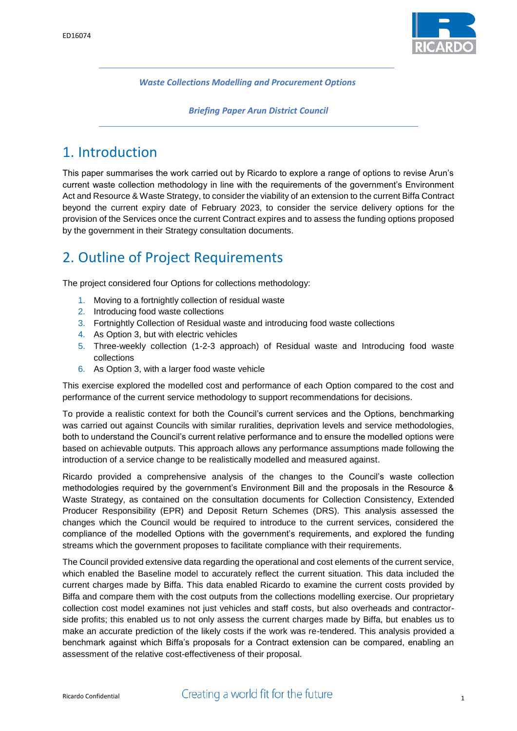

*Waste Collections Modelling and Procurement Options*

*Briefing Paper Arun District Council*

# 1. Introduction

This paper summarises the work carried out by Ricardo to explore a range of options to revise Arun's current waste collection methodology in line with the requirements of the government's Environment Act and Resource & Waste Strategy, to consider the viability of an extension to the current Biffa Contract beyond the current expiry date of February 2023, to consider the service delivery options for the provision of the Services once the current Contract expires and to assess the funding options proposed by the government in their Strategy consultation documents.

## 2. Outline of Project Requirements

The project considered four Options for collections methodology:

- 1. Moving to a fortnightly collection of residual waste
- 2. Introducing food waste collections
- 3. Fortnightly Collection of Residual waste and introducing food waste collections
- 4. As Option 3, but with electric vehicles
- 5. Three-weekly collection (1-2-3 approach) of Residual waste and Introducing food waste collections
- 6. As Option 3, with a larger food waste vehicle

This exercise explored the modelled cost and performance of each Option compared to the cost and performance of the current service methodology to support recommendations for decisions.

To provide a realistic context for both the Council's current services and the Options, benchmarking was carried out against Councils with similar ruralities, deprivation levels and service methodologies, both to understand the Council's current relative performance and to ensure the modelled options were based on achievable outputs. This approach allows any performance assumptions made following the introduction of a service change to be realistically modelled and measured against.

Ricardo provided a comprehensive analysis of the changes to the Council's waste collection methodologies required by the government's Environment Bill and the proposals in the Resource & Waste Strategy, as contained on the consultation documents for Collection Consistency, Extended Producer Responsibility (EPR) and Deposit Return Schemes (DRS). This analysis assessed the changes which the Council would be required to introduce to the current services, considered the compliance of the modelled Options with the government's requirements, and explored the funding streams which the government proposes to facilitate compliance with their requirements.

The Council provided extensive data regarding the operational and cost elements of the current service, which enabled the Baseline model to accurately reflect the current situation. This data included the current charges made by Biffa. This data enabled Ricardo to examine the current costs provided by Biffa and compare them with the cost outputs from the collections modelling exercise. Our proprietary collection cost model examines not just vehicles and staff costs, but also overheads and contractorside profits; this enabled us to not only assess the current charges made by Biffa, but enables us to make an accurate prediction of the likely costs if the work was re-tendered. This analysis provided a benchmark against which Biffa's proposals for a Contract extension can be compared, enabling an assessment of the relative cost-effectiveness of their proposal.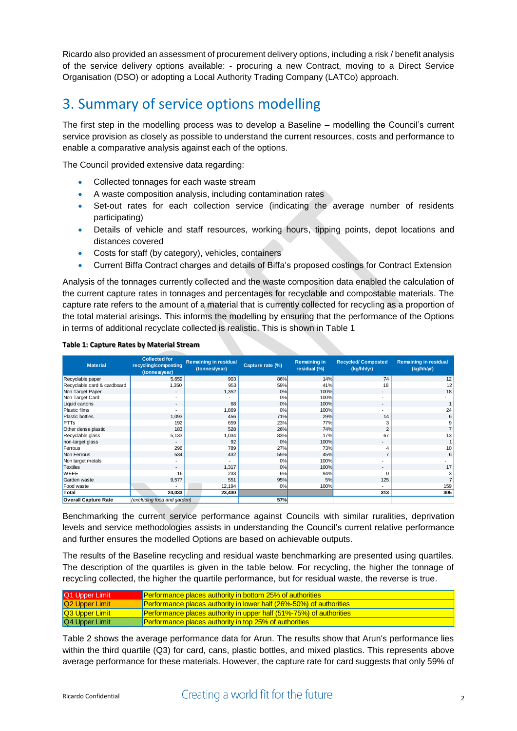Ricardo also provided an assessment of procurement delivery options, including a risk / benefit analysis of the service delivery options available: - procuring a new Contract, moving to a Direct Service Organisation (DSO) or adopting a Local Authority Trading Company (LATCo) approach.

## 3. Summary of service options modelling

The first step in the modelling process was to develop a Baseline – modelling the Council's current service provision as closely as possible to understand the current resources, costs and performance to enable a comparative analysis against each of the options.

The Council provided extensive data regarding:

- Collected tonnages for each waste stream
- A waste composition analysis, including contamination rates
- Set-out rates for each collection service (indicating the average number of residents participating)
- Details of vehicle and staff resources, working hours, tipping points, depot locations and distances covered
- Costs for staff (by category), vehicles, containers
- Current Biffa Contract charges and details of Biffa's proposed costings for Contract Extension

Analysis of the tonnages currently collected and the waste composition data enabled the calculation of the current capture rates in tonnages and percentages for recyclable and compostable materials. The capture rate refers to the amount of a material that is currently collected for recycling as a proportion of the total material arisings. This informs the modelling by ensuring that the performance of the Options in terms of additional recyclate collected is realistic. This is shown in [Table 1](#page-1-0)

| <b>Material</b>             | <b>Collected for</b><br>recycling/composting<br>(tonnes/year) | <b>Remaining in residual</b><br>(tonnes/year) | Capture rate (%) | <b>Remaining in</b><br>residual (%) | <b>Recycled/Composted</b><br>(kg/hh/yr) | <b>Remaining in residual</b><br>(kg/hh/yr) |
|-----------------------------|---------------------------------------------------------------|-----------------------------------------------|------------------|-------------------------------------|-----------------------------------------|--------------------------------------------|
| Recyclable paper            | 5,659                                                         | 903                                           | 86%              | 14%                                 | 74                                      | 12                                         |
| Recyclable card & cardboard | 1,350                                                         | 953                                           | 59%              | 41%                                 | 18                                      | 12                                         |
| Non Target Paper            | $\overline{\phantom{a}}$                                      | 1,352                                         | 0%               | 100%                                | $\sim$                                  | 18                                         |
| Non Target Card             |                                                               |                                               | 0%               | 100%                                | $\overline{\phantom{a}}$                |                                            |
| Liquid cartons              | $\overline{a}$                                                | 68                                            | 0%               | 100%                                | $\sim$                                  |                                            |
| <b>Plastic films</b>        |                                                               | 1,869                                         | 0%               | 100%                                | ۰                                       | 24                                         |
| <b>Plastic bottles</b>      | 1,093                                                         | 456                                           | 71%              | 29%                                 | 14                                      | 6                                          |
| <b>PTTs</b>                 | 192                                                           | 659                                           | 23%              | 77%                                 | 3                                       |                                            |
| Other dense plastic         | 183                                                           | 528                                           | 26%              | 74%                                 | $\overline{2}$                          |                                            |
| Recyclable glass            | 5,133                                                         | 1,034                                         | 83%              | 17%                                 | 67                                      | 13                                         |
| non-target glass            |                                                               | 92                                            | 0%               | 100%                                |                                         |                                            |
| Ferrous                     | 296                                                           | 789                                           | 27%              | 73%                                 |                                         | 10                                         |
| Non Ferrous                 | 534                                                           | 432                                           | 55%              | 45%                                 |                                         | 6                                          |
| Non target metals           |                                                               |                                               | 0%               | 100%                                |                                         |                                            |
| <b>Textiles</b>             | $\overline{\phantom{a}}$                                      | 1,317                                         | 0%               | 100%                                | $\sim$                                  | 17                                         |
| <b>WEEE</b>                 | 16                                                            | 233                                           | 6%               | 94%                                 | $\Omega$                                | 3                                          |
| Garden waste                | 9,577                                                         | 551                                           | 95%              | 5%                                  | 125                                     |                                            |
| Food waste                  |                                                               | 12,194                                        | 0%               | 100%                                | $\overline{a}$                          | 159                                        |
| Total                       | 24,033                                                        | 23,430                                        |                  |                                     | 313                                     | 305                                        |
| <b>Overall Capture Rate</b> | (excluding food and garden)                                   |                                               | 57%              |                                     |                                         |                                            |

#### <span id="page-1-0"></span>**Table 1: Capture Rates by Material Stream**

Benchmarking the current service performance against Councils with similar ruralities, deprivation levels and service methodologies assists in understanding the Council's current relative performance and further ensures the modelled Options are based on achievable outputs.

The results of the Baseline recycling and residual waste benchmarking are presented using quartiles. The description of the quartiles is given in the table below. For recycling, the higher the tonnage of recycling collected, the higher the quartile performance, but for residual waste, the reverse is true.

| Q1 Upper Limit             | <b>Performance places authority in bottom 25% of authorities</b>           |
|----------------------------|----------------------------------------------------------------------------|
| Q <sub>2</sub> Upper Limit | <b>Performance places authority in lower half (26%-50%) of authorities</b> |
| <b>Q3 Upper Limit</b>      | <b>Performance places authority in upper half (51%-75%) of authorities</b> |
| Q4 Upper Limit             | <b>Performance places authority in top 25% of authorities</b>              |

[Table 2](#page-2-0) shows the average performance data for Arun. The results show that Arun's performance lies within the third quartile (Q3) for card, cans, plastic bottles, and mixed plastics. This represents above average performance for these materials. However, the capture rate for card suggests that only 59% of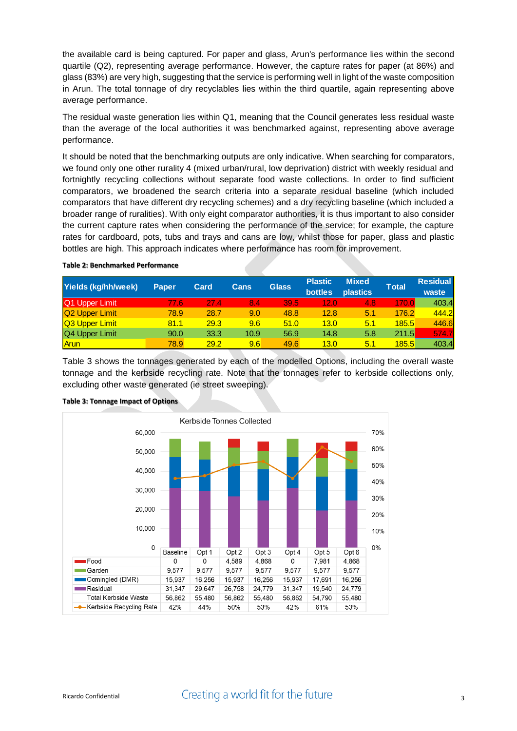the available card is being captured. For paper and glass, Arun's performance lies within the second quartile (Q2), representing average performance. However, the capture rates for paper (at 86%) and glass (83%) are very high, suggesting that the service is performing well in light of the waste composition in Arun. The total tonnage of dry recyclables lies within the third quartile, again representing above average performance.

The residual waste generation lies within Q1, meaning that the Council generates less residual waste than the average of the local authorities it was benchmarked against, representing above average performance.

It should be noted that the benchmarking outputs are only indicative. When searching for comparators, we found only one other rurality 4 (mixed urban/rural, low deprivation) district with weekly residual and fortnightly recycling collections without separate food waste collections. In order to find sufficient comparators, we broadened the search criteria into a separate residual baseline (which included comparators that have different dry recycling schemes) and a dry recycling baseline (which included a broader range of ruralities). With only eight comparator authorities, it is thus important to also consider the current capture rates when considering the performance of the service; for example, the capture rates for cardboard, pots, tubs and trays and cans are low, whilst those for paper, glass and plastic bottles are high. This approach indicates where performance has room for improvement.

| Yields (kg/hh/week)        | <b>Paper</b> | <b>Card</b> | Cans | <b>Glass</b> | <b>Plastic</b><br><b>bottles</b> | <b>Mixed</b><br><b>plastics</b> | Total | <b>Residual</b><br>waste |
|----------------------------|--------------|-------------|------|--------------|----------------------------------|---------------------------------|-------|--------------------------|
| Q1 Upper Limit             | 77.6         | 27.4        | 8.4  | /39.5/       | 12.0                             | 4.8                             | 170.0 | 403.4                    |
| Q <sub>2</sub> Upper Limit | 78.9         | 28.7        | 9.0  | 48.8         | 12.8                             | 5.1                             | 176.2 | 444.2                    |
| Q3 Upper Limit             | 81.1         | 29.3        | 9.6  | 51.0         | 13.0                             | 5.1                             | 185.5 | 446.6                    |
| Q4 Upper Limit             | 90.0         | 33.3        | 10.9 | 56.9         | 14.8                             | 5.8                             | 211.5 | 574.7                    |
| Arun                       | 78.9         | 29.2        | 9.6  | 49.6         | 13.0                             | 5.1                             | 185.5 | 403.4                    |

### <span id="page-2-0"></span>**Table 2: Benchmarked Performance**

[Table 3](#page-2-1) shows the tonnages generated by each of the modelled Options, including the overall waste tonnage and the kerbside recycling rate. Note that the tonnages refer to kerbside collections only, excluding other waste generated (ie street sweeping).



#### <span id="page-2-1"></span>**Table 3: Tonnage Impact of Options**

### Ricardo Confidential **State Creating a world fit for the future**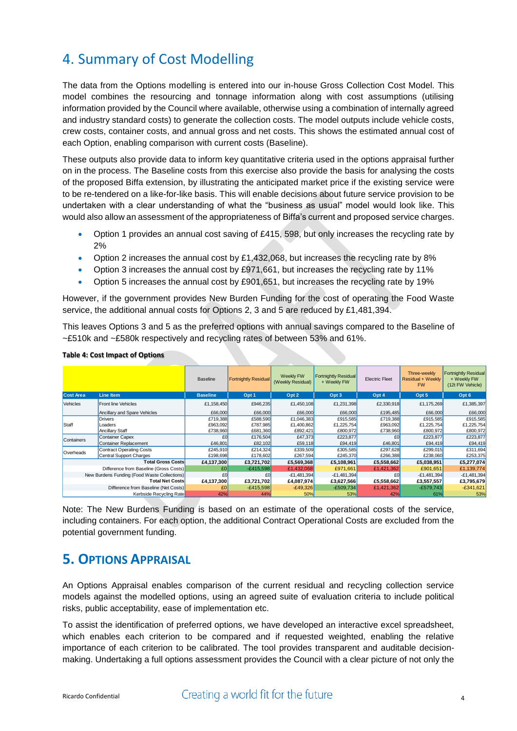# 4. Summary of Cost Modelling

The data from the Options modelling is entered into our in-house Gross Collection Cost Model. This model combines the resourcing and tonnage information along with cost assumptions (utilising information provided by the Council where available, otherwise using a combination of internally agreed and industry standard costs) to generate the collection costs. The model outputs include vehicle costs, crew costs, container costs, and annual gross and net costs. This shows the estimated annual cost of each Option, enabling comparison with current costs (Baseline).

These outputs also provide data to inform key quantitative criteria used in the options appraisal further on in the process. The Baseline costs from this exercise also provide the basis for analysing the costs of the proposed Biffa extension, by illustrating the anticipated market price if the existing service were to be re-tendered on a like-for-like basis. This will enable decisions about future service provision to be undertaken with a clear understanding of what the "business as usual" model would look like. This would also allow an assessment of the appropriateness of Biffa's current and proposed service charges.

- Option 1 provides an annual cost saving of £415, 598, but only increases the recycling rate by 2%
- Option 2 increases the annual cost by £1,432,068, but increases the recycling rate by 8%
- Option 3 increases the annual cost by £971,661, but increases the recycling rate by 11%
- Option 5 increases the annual cost by £901,651, but increases the recycling rate by 19%

However, if the government provides New Burden Funding for the cost of operating the Food Waste service, the additional annual costs for Options 2, 3 and 5 are reduced by £1,481,394.

This leaves Options 3 and 5 as the preferred options with annual savings compared to the Baseline of ~£510k and ~£580k respectively and recycling rates of between 53% and 61%.

|                                              |                              | <b>Baseline</b> | <b>Fortnightly Residual</b> | Weekly FW<br>(Weekly Residual) | <b>Fortnightly Residual</b><br>+ Weekly FW | <b>Electric Fleet</b> | Three-weekly<br><b>Residual + Weekly</b><br><b>FW</b> | <b>Fortnightly Residual</b><br>+ Weekly FW<br>(12t FW Vehicle) |
|----------------------------------------------|------------------------------|-----------------|-----------------------------|--------------------------------|--------------------------------------------|-----------------------|-------------------------------------------------------|----------------------------------------------------------------|
| <b>Cost Area</b>                             | Line Item                    | <b>Baseline</b> | Opt 1                       | Opt <sub>2</sub>               | Opt <sub>3</sub>                           | Opt 4                 | Opt <sub>5</sub>                                      | Opt <sub>6</sub>                                               |
| <b>Vehicles</b>                              | <b>Front line Vehicles</b>   | £1,158,450      | £946,235                    | £1,450,108                     | £1,231,398                                 | £2,330,918            | £1,175,269                                            | £1,385,397                                                     |
|                                              | Ancillary and Spare Vehicles | £66,000         | £66,000                     | £66,000                        | £66,000                                    | £195,485              | £66,000                                               | £66,000                                                        |
|                                              | <b>Drivers</b>               | £719,388        | £588,590                    | £1,046,383                     | £915,585                                   | £719,388              | £915,585                                              | £915,585                                                       |
| Staff                                        | Loaders                      | £963,092        | £787,985                    | £1,400,862                     | £1,225,754                                 | £963,092              | £1,225,754                                            | £1,225,754                                                     |
|                                              | <b>Ancillary Staff</b>       | £738,960        | £681,360                    | £892,421                       | £800,972                                   | £738,960              | £800,972                                              | £800,972                                                       |
| Containers                                   | Container Capex              | £0              | £176,504                    | £47,373                        | £223,877                                   | £Ū                    | £223,877                                              | £223,877                                                       |
|                                              | Container Replacement        | £46,801         | £82,102                     | £59,118                        | £94,419                                    | £46,801               | £94,419                                               | £94,419                                                        |
| Overheads                                    | Contract Operating Costs     | £245,910        | £214,324                    | £339,509                       | £305,585                                   | £297,628              | £299,015                                              | £311,694                                                       |
|                                              | Central Support Charges      |                 | £198,698<br>£178,602        | £267,594                       | £245,370                                   | £266,388              | £238,060                                              | £253,375                                                       |
| <b>Total Gross Costs</b>                     |                              | £4,137,300      | £3,721,702                  | £5,569,368                     | £5,108,961                                 | £5,558,662            | £5,038,951                                            | £5,277,074                                                     |
| Difference from Baseline (Gross Costs)       |                              | £0              | $-E415,598$                 | £1,432,068                     | £971,661                                   | £1,421,362            | £901,651                                              | £1,139,774                                                     |
| New Burdens Funding (Food Waste Collections) |                              | £0              | £O                          | $-E1,481,394$                  | $-E1,481,394$                              | £0                    | $-E1,481,394$                                         | $-E1,481,394$                                                  |
| <b>Total Net Costs</b>                       |                              | £4,137,300      | £3,721,702                  | £4,087,974                     | £3,627,566                                 | £5,558,662            | £3,557,557                                            | £3,795,679                                                     |
| Difference from Baseline (Net Costs)         |                              | £0              | $-E415,598$                 | $-E49,326$                     | $-E509,734$                                | £1,421,362            | $-E579,743$                                           | $-£341,621$                                                    |
| Kerbside Recycling Rate                      |                              | 42%             | 44%                         | 50%                            | 53%                                        | 42%                   | 61%                                                   | 53%                                                            |

#### **Table 4: Cost Impact of Options**

Note: The New Burdens Funding is based on an estimate of the operational costs of the service, including containers. For each option, the additional Contract Operational Costs are excluded from the potential government funding.

### **5. OPTIONS APPRAISAL**

An Options Appraisal enables comparison of the current residual and recycling collection service models against the modelled options, using an agreed suite of evaluation criteria to include political risks, public acceptability, ease of implementation etc.

To assist the identification of preferred options, we have developed an interactive excel spreadsheet, which enables each criterion to be compared and if requested weighted, enabling the relative importance of each criterion to be calibrated. The tool provides transparent and auditable decisionmaking. Undertaking a full options assessment provides the Council with a clear picture of not only the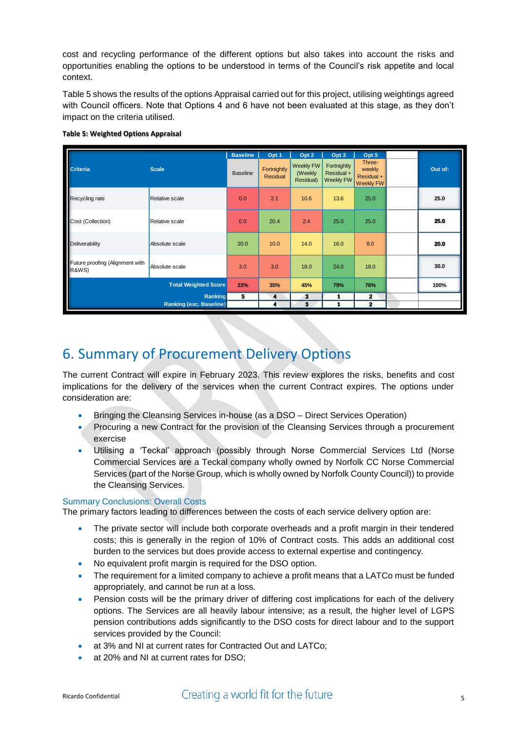cost and recycling performance of the different options but also takes into account the risks and opportunities enabling the options to be understood in terms of the Council's risk appetite and local context.

[Table 5](#page-4-0) shows the results of the options Appraisal carried out for this project, utilising weightings agreed with Council officers. Note that Options 4 and 6 have not been evaluated at this stage, as they don't impact on the criteria utilised.

|                                                                                                               |                                | <b>Baseline</b> | Opt 1                          | Opt 2                                    | Opt 3                                  | Opt 5                                              |         |
|---------------------------------------------------------------------------------------------------------------|--------------------------------|-----------------|--------------------------------|------------------------------------------|----------------------------------------|----------------------------------------------------|---------|
| Criteria<br>Recycling rate<br>Cost (Collection)<br>Deliverability<br>Future proofing (Alignment with<br>R&WS) | <b>Scale</b>                   | <b>Baseline</b> | Fortnightly<br><b>Residual</b> | <b>Weekly FW</b><br>(Weekly<br>Residual) | Fortnightly<br>Residual +<br>Weekly FW | Three-<br>weekly<br>Residual +<br><b>Weekly FW</b> | Out of: |
|                                                                                                               | Relative scale                 | 0.0             | 2.1                            | 10.6                                     | 13.6                                   | 25.0                                               | 25.0    |
|                                                                                                               | Relative scale                 | 0.0             | 20.4                           | 2.4                                      | 25.0                                   | 25.0                                               | 25.0    |
|                                                                                                               | Absolute scale                 | 20.0            | 10.0                           | 14.0                                     | 16.0                                   | 8.0                                                | 20.0    |
|                                                                                                               | Absolute scale                 | 3.0             | 3.0                            | 18.0                                     | 24.0                                   | 18.0                                               | 30.0    |
|                                                                                                               | <b>Total Weighted Score</b>    | 23%             | 35%                            | 45%                                      | 79%                                    | 76%                                                | 100%    |
|                                                                                                               | Ranking                        | 5               | 4                              | 3                                        |                                        | 2                                                  |         |
|                                                                                                               | <b>Ranking (exc. Baseline)</b> |                 | 4                              | 3                                        | 1                                      | $\mathbf{z}$                                       |         |

#### <span id="page-4-0"></span>**Table 5: Weighted Options Appraisal**

### 6. Summary of Procurement Delivery Options

The current Contract will expire in February 2023. This review explores the risks, benefits and cost implications for the delivery of the services when the current Contract expires. The options under consideration are:

- Bringing the Cleansing Services in-house (as a DSO Direct Services Operation)
- Procuring a new Contract for the provision of the Cleansing Services through a procurement exercise
- Utilising a 'Teckal' approach (possibly through Norse Commercial Services Ltd (Norse Commercial Services are a Teckal company wholly owned by Norfolk CC Norse Commercial Services (part of the Norse Group, which is wholly owned by Norfolk County Council)) to provide the Cleansing Services.

### Summary Conclusions: Overall Costs

The primary factors leading to differences between the costs of each service delivery option are:

- The private sector will include both corporate overheads and a profit margin in their tendered costs; this is generally in the region of 10% of Contract costs. This adds an additional cost burden to the services but does provide access to external expertise and contingency.
- No equivalent profit margin is required for the DSO option.
- The requirement for a limited company to achieve a profit means that a LATCo must be funded appropriately, and cannot be run at a loss.
- Pension costs will be the primary driver of differing cost implications for each of the delivery options. The Services are all heavily labour intensive; as a result, the higher level of LGPS pension contributions adds significantly to the DSO costs for direct labour and to the support services provided by the Council:
- at 3% and NI at current rates for Contracted Out and LATCo;
- at 20% and NI at current rates for DSO;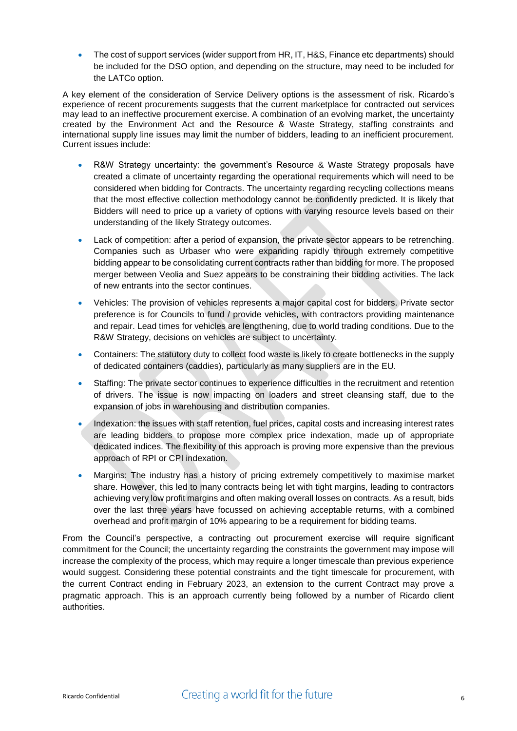The cost of support services (wider support from HR, IT, H&S, Finance etc departments) should be included for the DSO option, and depending on the structure, may need to be included for the LATCo option.

A key element of the consideration of Service Delivery options is the assessment of risk. Ricardo's experience of recent procurements suggests that the current marketplace for contracted out services may lead to an ineffective procurement exercise. A combination of an evolving market, the uncertainty created by the Environment Act and the Resource & Waste Strategy, staffing constraints and international supply line issues may limit the number of bidders, leading to an inefficient procurement. Current issues include:

- R&W Strategy uncertainty: the government's Resource & Waste Strategy proposals have created a climate of uncertainty regarding the operational requirements which will need to be considered when bidding for Contracts. The uncertainty regarding recycling collections means that the most effective collection methodology cannot be confidently predicted. It is likely that Bidders will need to price up a variety of options with varying resource levels based on their understanding of the likely Strategy outcomes.
- Lack of competition: after a period of expansion, the private sector appears to be retrenching. Companies such as Urbaser who were expanding rapidly through extremely competitive bidding appear to be consolidating current contracts rather than bidding for more. The proposed merger between Veolia and Suez appears to be constraining their bidding activities. The lack of new entrants into the sector continues.
- Vehicles: The provision of vehicles represents a major capital cost for bidders. Private sector preference is for Councils to fund / provide vehicles, with contractors providing maintenance and repair. Lead times for vehicles are lengthening, due to world trading conditions. Due to the R&W Strategy, decisions on vehicles are subject to uncertainty.
- Containers: The statutory duty to collect food waste is likely to create bottlenecks in the supply of dedicated containers (caddies), particularly as many suppliers are in the EU.
- Staffing: The private sector continues to experience difficulties in the recruitment and retention of drivers. The issue is now impacting on loaders and street cleansing staff, due to the expansion of jobs in warehousing and distribution companies.
- Indexation: the issues with staff retention, fuel prices, capital costs and increasing interest rates are leading bidders to propose more complex price indexation, made up of appropriate dedicated indices. The flexibility of this approach is proving more expensive than the previous approach of RPI or CPI indexation.
- Margins: The industry has a history of pricing extremely competitively to maximise market share. However, this led to many contracts being let with tight margins, leading to contractors achieving very low profit margins and often making overall losses on contracts. As a result, bids over the last three years have focussed on achieving acceptable returns, with a combined overhead and profit margin of 10% appearing to be a requirement for bidding teams.

From the Council's perspective, a contracting out procurement exercise will require significant commitment for the Council; the uncertainty regarding the constraints the government may impose will increase the complexity of the process, which may require a longer timescale than previous experience would suggest. Considering these potential constraints and the tight timescale for procurement, with the current Contract ending in February 2023, an extension to the current Contract may prove a pragmatic approach. This is an approach currently being followed by a number of Ricardo client authorities.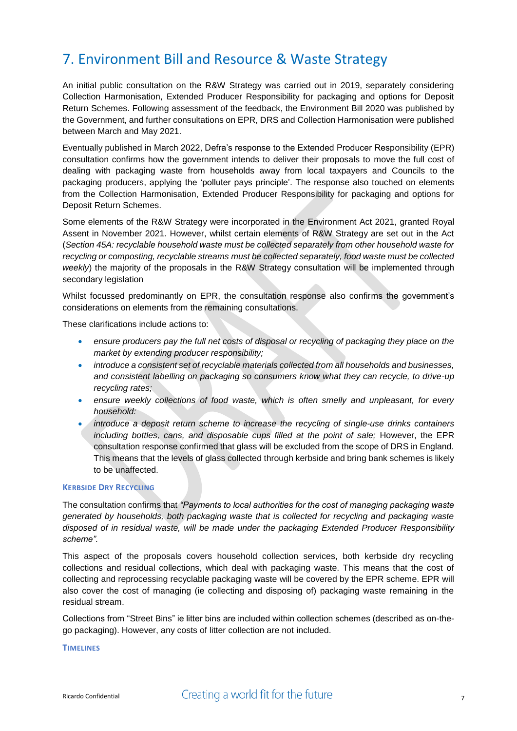## 7. Environment Bill and Resource & Waste Strategy

An initial public consultation on the R&W Strategy was carried out in 2019, separately considering Collection Harmonisation, Extended Producer Responsibility for packaging and options for Deposit Return Schemes. Following assessment of the feedback, the Environment Bill 2020 was published by the Government, and further consultations on EPR, DRS and Collection Harmonisation were published between March and May 2021.

Eventually published in March 2022, Defra's response to the Extended Producer Responsibility (EPR) consultation confirms how the government intends to deliver their proposals to move the full cost of dealing with packaging waste from households away from local taxpayers and Councils to the packaging producers, applying the 'polluter pays principle'. The response also touched on elements from the Collection Harmonisation, Extended Producer Responsibility for packaging and options for Deposit Return Schemes.

Some elements of the R&W Strategy were incorporated in the Environment Act 2021, granted Royal Assent in November 2021. However, whilst certain elements of R&W Strategy are set out in the Act (*Section 45A: recyclable household waste must be collected separately from other household waste for recycling or composting, recyclable streams must be collected separately, food waste must be collected weekly*) the majority of the proposals in the R&W Strategy consultation will be implemented through secondary legislation

Whilst focussed predominantly on EPR, the consultation response also confirms the government's considerations on elements from the remaining consultations.

These clarifications include actions to:

- **e** ensure producers pay the full net costs of disposal or recycling of packaging they place on the *market by extending producer responsibility;*
- *introduce a consistent set of recyclable materials collected from all households and businesses, and consistent labelling on packaging so consumers know what they can recycle, to drive-up recycling rates;*
- *ensure weekly collections of food waste, which is often smelly and unpleasant, for every household:*
- *introduce a deposit return scheme to increase the recycling of single-use drinks containers including bottles, cans, and disposable cups filled at the point of sale;* However, the EPR consultation response confirmed that glass will be excluded from the scope of DRS in England. This means that the levels of glass collected through kerbside and bring bank schemes is likely to be unaffected.

### **KERBSIDE DRY RECYCLING**

The consultation confirms that *"Payments to local authorities for the cost of managing packaging waste generated by households, both packaging waste that is collected for recycling and packaging waste disposed of in residual waste, will be made under the packaging Extended Producer Responsibility scheme".* 

This aspect of the proposals covers household collection services, both kerbside dry recycling collections and residual collections, which deal with packaging waste. This means that the cost of collecting and reprocessing recyclable packaging waste will be covered by the EPR scheme. EPR will also cover the cost of managing (ie collecting and disposing of) packaging waste remaining in the residual stream.

Collections from "Street Bins" ie litter bins are included within collection schemes (described as on-thego packaging). However, any costs of litter collection are not included.

#### **TIMELINES**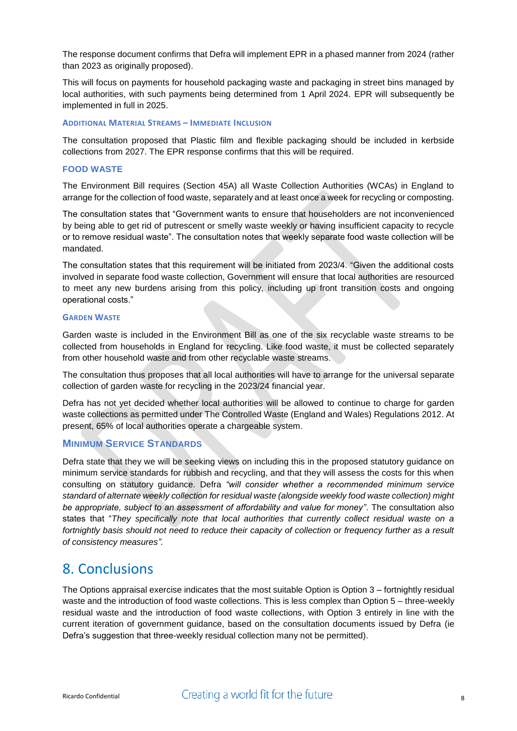The response document confirms that Defra will implement EPR in a phased manner from 2024 (rather than 2023 as originally proposed).

This will focus on payments for household packaging waste and packaging in street bins managed by local authorities, with such payments being determined from 1 April 2024. EPR will subsequently be implemented in full in 2025.

### **ADDITIONAL MATERIAL STREAMS – IMMEDIATE INCLUSION**

The consultation proposed that Plastic film and flexible packaging should be included in kerbside collections from 2027. The EPR response confirms that this will be required.

### **FOOD WASTE**

The Environment Bill requires (Section 45A) all Waste Collection Authorities (WCAs) in England to arrange for the collection of food waste, separately and at least once a week for recycling or composting.

The consultation states that "Government wants to ensure that householders are not inconvenienced by being able to get rid of putrescent or smelly waste weekly or having insufficient capacity to recycle or to remove residual waste". The consultation notes that weekly separate food waste collection will be mandated.

The consultation states that this requirement will be initiated from 2023/4. "Given the additional costs involved in separate food waste collection, Government will ensure that local authorities are resourced to meet any new burdens arising from this policy, including up front transition costs and ongoing operational costs."

### **GARDEN WASTE**

Garden waste is included in the Environment Bill as one of the six recyclable waste streams to be collected from households in England for recycling. Like food waste, it must be collected separately from other household waste and from other recyclable waste streams.

The consultation thus proposes that all local authorities will have to arrange for the universal separate collection of garden waste for recycling in the 2023/24 financial year.

Defra has not yet decided whether local authorities will be allowed to continue to charge for garden waste collections as permitted under The Controlled Waste (England and Wales) Regulations 2012. At present, 65% of local authorities operate a chargeable system.

### **MINIMUM SERVICE STANDARDS**

Defra state that they we will be seeking views on including this in the proposed statutory guidance on minimum service standards for rubbish and recycling, and that they will assess the costs for this when consulting on statutory guidance. Defra *"will consider whether a recommended minimum service standard of alternate weekly collection for residual waste (alongside weekly food waste collection) might be appropriate, subject to an assessment of affordability and value for money"*. The consultation also states that "*They specifically note that local authorities that currently collect residual waste on a fortnightly basis should not need to reduce their capacity of collection or frequency further as a result of consistency measures".*

### 8. Conclusions

The Options appraisal exercise indicates that the most suitable Option is Option 3 – fortnightly residual waste and the introduction of food waste collections. This is less complex than Option 5 – three-weekly residual waste and the introduction of food waste collections, with Option 3 entirely in line with the current iteration of government guidance, based on the consultation documents issued by Defra (ie Defra's suggestion that three-weekly residual collection many not be permitted).